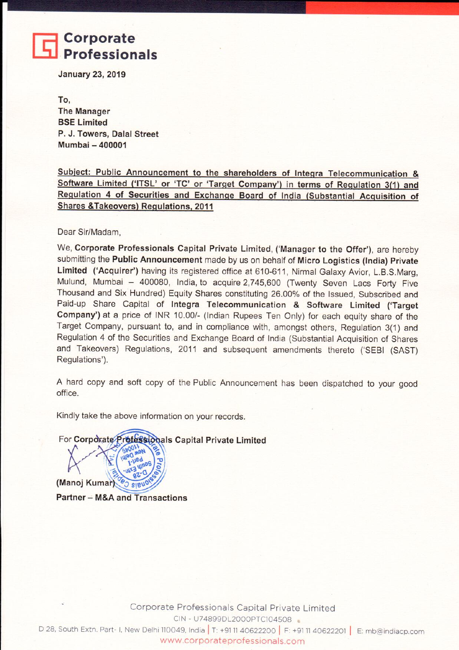## Corporate **Professionals**

**January 23, 2019** 

To. **The Manager BSE Limited** P. J. Towers, Dalal Street Mumbai - 400001

Subject: Public Announcement to the shareholders of Integra Telecommunication & Software Limited ('ITSL' or 'TC' or 'Target Company') in terms of Regulation 3(1) and Regulation 4 of Securities and Exchange Board of India (Substantial Acquisition of **Shares &Takeovers) Regulations, 2011** 

Dear Sir/Madam.

We, Corporate Professionals Capital Private Limited, ('Manager to the Offer'), are hereby submitting the Public Announcement made by us on behalf of Micro Logistics (India) Private Limited ('Acquirer') having its registered office at 610-611, Nirmal Galaxy Avior, L.B.S.Marg, Mulund, Mumbai - 400080, India, to acquire 2,745,600 (Twenty Seven Lacs Forty Five Thousand and Six Hundred) Equity Shares constituting 26.00% of the Issued, Subscribed and Paid-up Share Capital of Integra Telecommunication & Software Limited ('Target Company') at a price of INR 10.00/- (Indian Rupees Ten Only) for each equity share of the Target Company, pursuant to, and in compliance with, amongst others, Regulation 3(1) and Regulation 4 of the Securities and Exchange Board of India (Substantial Acquisition of Shares and Takeovers) Regulations, 2011 and subsequent amendments thereto ('SEBI (SAST) Regulations').

A hard copy and soft copy of the Public Announcement has been dispatched to your good office.

Kindly take the above information on your records.

For Corporate Professionals Capital Private Limited

(Manoj Kumar) **Partner - M&A and Transactions**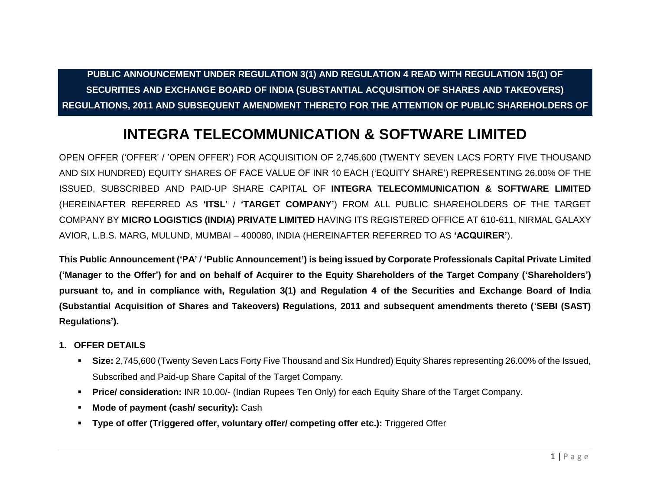**PUBLIC ANNOUNCEMENT UNDER REGULATION 3(1) AND REGULATION 4 READ WITH REGULATION 15(1) OF SECURITIES AND EXCHANGE BOARD OF INDIA (SUBSTANTIAL ACQUISITION OF SHARES AND TAKEOVERS) REGULATIONS, 2011 AND SUBSEQUENT AMENDMENT THERETO FOR THE ATTENTION OF PUBLIC SHAREHOLDERS OF**

# **INTEGRA TELECOMMUNICATION & SOFTWARE LIMITED**

OPEN OFFER ('OFFER' / 'OPEN OFFER') FOR ACQUISITION OF 2,745,600 (TWENTY SEVEN LACS FORTY FIVE THOUSAND AND SIX HUNDRED) EQUITY SHARES OF FACE VALUE OF INR 10 EACH ('EQUITY SHARE') REPRESENTING 26.00% OF THE ISSUED, SUBSCRIBED AND PAID-UP SHARE CAPITAL OF **INTEGRA TELECOMMUNICATION & SOFTWARE LIMITED**  (HEREINAFTER REFERRED AS **'ITSL'** / **'TARGET COMPANY'**) FROM ALL PUBLIC SHAREHOLDERS OF THE TARGET COMPANY BY **MICRO LOGISTICS (INDIA) PRIVATE LIMITED** HAVING ITS REGISTERED OFFICE AT 610-611, NIRMAL GALAXY AVIOR, L.B.S. MARG, MULUND, MUMBAI – 400080, INDIA (HEREINAFTER REFERRED TO AS **'ACQUIRER'**).

**This Public Announcement ('PA' / 'Public Announcement') is being issued by Corporate Professionals Capital Private Limited ('Manager to the Offer') for and on behalf of Acquirer to the Equity Shareholders of the Target Company ('Shareholders') pursuant to, and in compliance with, Regulation 3(1) and Regulation 4 of the Securities and Exchange Board of India (Substantial Acquisition of Shares and Takeovers) Regulations, 2011 and subsequent amendments thereto ('SEBI (SAST) Regulations').**

#### **1. OFFER DETAILS**

- **Size:** 2,745,600 (Twenty Seven Lacs Forty Five Thousand and Six Hundred) Equity Shares representing 26.00% of the Issued, Subscribed and Paid-up Share Capital of the Target Company.
- **Price/ consideration:** INR 10.00/- (Indian Rupees Ten Only) for each Equity Share of the Target Company.
- **Mode of payment (cash/ security):** Cash
- **Type of offer (Triggered offer, voluntary offer/ competing offer etc.):** Triggered Offer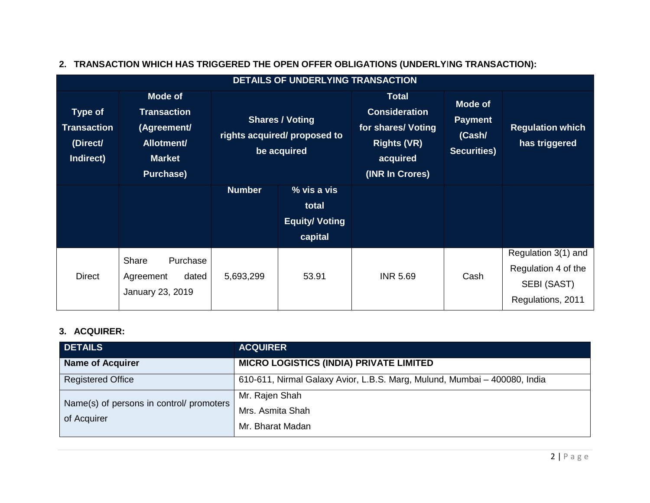| <b>DETAILS OF UNDERLYING TRANSACTION</b>                      |                                                                                                 |                                                                       |                                                                   |                                                                                                                 |                                                           |                                                                                |
|---------------------------------------------------------------|-------------------------------------------------------------------------------------------------|-----------------------------------------------------------------------|-------------------------------------------------------------------|-----------------------------------------------------------------------------------------------------------------|-----------------------------------------------------------|--------------------------------------------------------------------------------|
| <b>Type of</b><br><b>Transaction</b><br>(Direct/<br>Indirect) | Mode of<br><b>Transaction</b><br>(Agreement/<br>Allotment/<br><b>Market</b><br><b>Purchase)</b> | <b>Shares / Voting</b><br>rights acquired/ proposed to<br>be acquired |                                                                   | <b>Total</b><br><b>Consideration</b><br>for shares/ Voting<br><b>Rights (VR)</b><br>acquired<br>(INR In Crores) | Mode of<br><b>Payment</b><br>(Cash/<br><b>Securities)</b> | <b>Regulation which</b><br>has triggered                                       |
|                                                               |                                                                                                 | <b>Number</b>                                                         | $\sqrt{8}$ vis a vis<br>total<br><b>Equity/ Voting</b><br>capital |                                                                                                                 |                                                           |                                                                                |
| <b>Direct</b>                                                 | Share<br>Purchase<br>dated<br>Agreement<br>January 23, 2019                                     | 5,693,299                                                             | 53.91                                                             | <b>INR 5.69</b>                                                                                                 | Cash                                                      | Regulation 3(1) and<br>Regulation 4 of the<br>SEBI (SAST)<br>Regulations, 2011 |

## **2. TRANSACTION WHICH HAS TRIGGERED THE OPEN OFFER OBLIGATIONS (UNDERLY**I**NG TRANSACTION):**

#### **3. ACQUIRER:**

| <b>DETAILS</b>                           | <b>ACQUIRER</b>                                                           |
|------------------------------------------|---------------------------------------------------------------------------|
| <b>Name of Acquirer</b>                  | <b>MICRO LOGISTICS (INDIA) PRIVATE LIMITED</b>                            |
| <b>Registered Office</b>                 | 610-611, Nirmal Galaxy Avior, L.B.S. Marg, Mulund, Mumbai – 400080, India |
| Name(s) of persons in control/ promoters | Mr. Rajen Shah                                                            |
| of Acquirer                              | Mrs. Asmita Shah                                                          |
|                                          | Mr. Bharat Madan                                                          |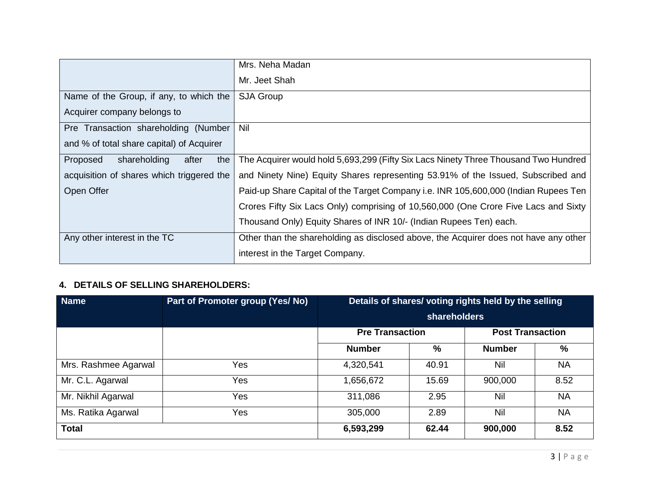|                                           | Mrs. Neha Madan                                                                      |
|-------------------------------------------|--------------------------------------------------------------------------------------|
|                                           | Mr. Jeet Shah                                                                        |
| Name of the Group, if any, to which the   | <b>SJA Group</b>                                                                     |
| Acquirer company belongs to               |                                                                                      |
| Pre Transaction shareholding (Number      | Nil                                                                                  |
| and % of total share capital) of Acquirer |                                                                                      |
| shareholding<br>the<br>Proposed<br>after  | The Acquirer would hold 5,693,299 (Fifty Six Lacs Ninety Three Thousand Two Hundred  |
| acquisition of shares which triggered the | and Ninety Nine) Equity Shares representing 53.91% of the Issued, Subscribed and     |
| Open Offer                                | Paid-up Share Capital of the Target Company i.e. INR 105,600,000 (Indian Rupees Ten  |
|                                           | Crores Fifty Six Lacs Only) comprising of 10,560,000 (One Crore Five Lacs and Sixty  |
|                                           | Thousand Only) Equity Shares of INR 10/- (Indian Rupees Ten) each.                   |
| Any other interest in the TC              | Other than the shareholding as disclosed above, the Acquirer does not have any other |
|                                           | interest in the Target Company.                                                      |

### **4. DETAILS OF SELLING SHAREHOLDERS:**

| <b>Name</b>          | Part of Promoter group (Yes/ No) | Details of shares/ voting rights held by the selling<br><b>shareholders</b> |       |                         |           |
|----------------------|----------------------------------|-----------------------------------------------------------------------------|-------|-------------------------|-----------|
|                      |                                  | <b>Pre Transaction</b>                                                      |       | <b>Post Transaction</b> |           |
|                      |                                  | <b>Number</b>                                                               | %     | <b>Number</b>           | %         |
| Mrs. Rashmee Agarwal | Yes                              | 4,320,541                                                                   | 40.91 | Nil                     | <b>NA</b> |
| Mr. C.L. Agarwal     | Yes                              | 1,656,672                                                                   | 15.69 | 900,000                 | 8.52      |
| Mr. Nikhil Agarwal   | <b>Yes</b>                       | 311,086                                                                     | 2.95  | Nil                     | <b>NA</b> |
| Ms. Ratika Agarwal   | Yes                              | 305,000                                                                     | 2.89  | Nil                     | <b>NA</b> |
| <b>Total</b>         |                                  | 6,593,299                                                                   | 62.44 | 900,000                 | 8.52      |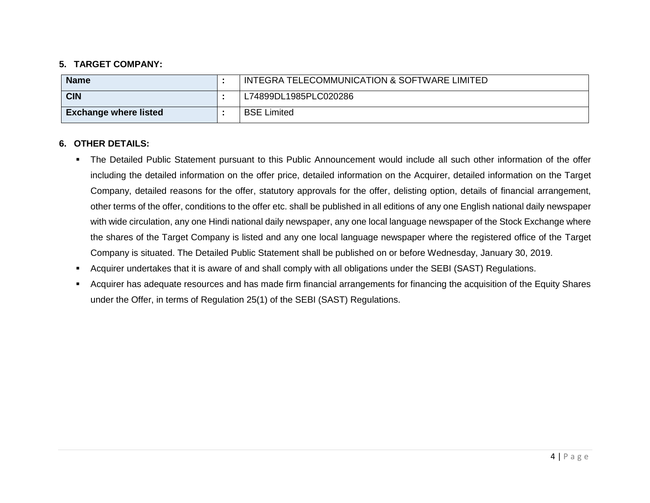#### **5. TARGET COMPANY:**

| <b>Name</b>                  | INTEGRA TELECOMMUNICATION & SOFTWARE LIMITED |
|------------------------------|----------------------------------------------|
| <b>CIN</b>                   | L74899DL1985PLC020286                        |
| <b>Exchange where listed</b> | <b>BSE Limited</b>                           |

#### **6. OTHER DETAILS:**

- The Detailed Public Statement pursuant to this Public Announcement would include all such other information of the offer including the detailed information on the offer price, detailed information on the Acquirer, detailed information on the Target Company, detailed reasons for the offer, statutory approvals for the offer, delisting option, details of financial arrangement, other terms of the offer, conditions to the offer etc. shall be published in all editions of any one English national daily newspaper with wide circulation, any one Hindi national daily newspaper, any one local language newspaper of the Stock Exchange where the shares of the Target Company is listed and any one local language newspaper where the registered office of the Target Company is situated. The Detailed Public Statement shall be published on or before Wednesday, January 30, 2019.
- Acquirer undertakes that it is aware of and shall comply with all obligations under the SEBI (SAST) Regulations.
- Acquirer has adequate resources and has made firm financial arrangements for financing the acquisition of the Equity Shares under the Offer, in terms of Regulation 25(1) of the SEBI (SAST) Regulations.